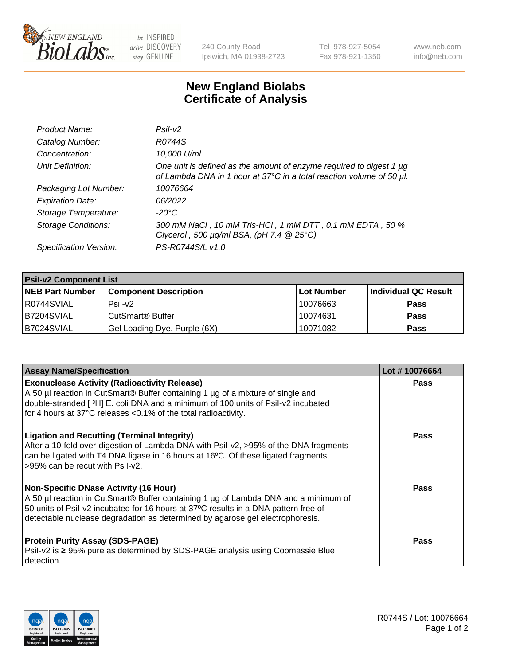

 $be$  INSPIRED drive DISCOVERY stay GENUINE

240 County Road Ipswich, MA 01938-2723 Tel 978-927-5054 Fax 978-921-1350 www.neb.com info@neb.com

## **New England Biolabs Certificate of Analysis**

| Product Name:              | Psi2                                                                                                                                        |
|----------------------------|---------------------------------------------------------------------------------------------------------------------------------------------|
| Catalog Number:            | R0744S                                                                                                                                      |
| Concentration:             | 10,000 U/ml                                                                                                                                 |
| Unit Definition:           | One unit is defined as the amount of enzyme required to digest 1 µg<br>of Lambda DNA in 1 hour at 37°C in a total reaction volume of 50 µl. |
| Packaging Lot Number:      | 10076664                                                                                                                                    |
| <b>Expiration Date:</b>    | 06/2022                                                                                                                                     |
| Storage Temperature:       | $-20^{\circ}$ C                                                                                                                             |
| <b>Storage Conditions:</b> | 300 mM NaCl, 10 mM Tris-HCl, 1 mM DTT, 0.1 mM EDTA, 50 %<br>Glycerol, 500 $\mu$ g/ml BSA, (pH 7.4 $@25°C$ )                                 |
| Specification Version:     | PS-R0744S/L v1.0                                                                                                                            |

| <b>Psil-v2 Component List</b> |                                    |                   |                      |  |  |
|-------------------------------|------------------------------------|-------------------|----------------------|--|--|
| <b>NEB Part Number</b>        | <b>Component Description</b>       | <b>Lot Number</b> | Individual QC Result |  |  |
| I R0744SVIAL                  | Psi2                               | 10076663          | <b>Pass</b>          |  |  |
| B7204SVIAL                    | <b>CutSmart<sup>®</sup> Buffer</b> | 10074631          | <b>Pass</b>          |  |  |
| B7024SVIAL                    | Gel Loading Dye, Purple (6X)       | 10071082          | <b>Pass</b>          |  |  |

| <b>Assay Name/Specification</b>                                                                                                                                                                                                                                                                                         | Lot #10076664 |
|-------------------------------------------------------------------------------------------------------------------------------------------------------------------------------------------------------------------------------------------------------------------------------------------------------------------------|---------------|
| <b>Exonuclease Activity (Radioactivity Release)</b><br>A 50 µl reaction in CutSmart® Buffer containing 1 µg of a mixture of single and                                                                                                                                                                                  | <b>Pass</b>   |
| double-stranded [3H] E. coli DNA and a minimum of 100 units of Psil-v2 incubated<br>for 4 hours at 37°C releases <0.1% of the total radioactivity.                                                                                                                                                                      |               |
| <b>Ligation and Recutting (Terminal Integrity)</b><br>After a 10-fold over-digestion of Lambda DNA with Psil-v2, >95% of the DNA fragments<br>can be ligated with T4 DNA ligase in 16 hours at 16°C. Of these ligated fragments,<br>>95% can be recut with Psil-v2.                                                     | Pass          |
| <b>Non-Specific DNase Activity (16 Hour)</b><br>A 50 µl reaction in CutSmart <sup>®</sup> Buffer containing 1 µg of Lambda DNA and a minimum of<br>50 units of Psil-v2 incubated for 16 hours at 37°C results in a DNA pattern free of<br>detectable nuclease degradation as determined by agarose gel electrophoresis. | <b>Pass</b>   |
| <b>Protein Purity Assay (SDS-PAGE)</b><br>Psil-v2 is ≥ 95% pure as determined by SDS-PAGE analysis using Coomassie Blue<br>detection.                                                                                                                                                                                   | <b>Pass</b>   |